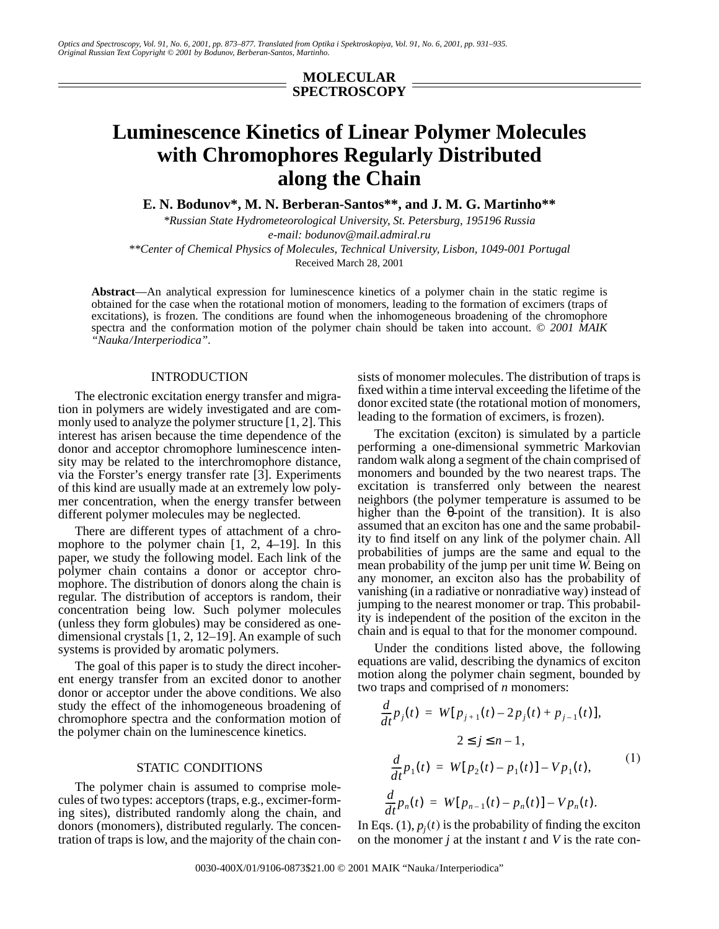Optics and Spectroscopy, Vol. 91, No. 6, 2001, pp. 873–877. Translated from Optika i Spektroskopiya, Vol. 91, No. 6, 2001, pp. 931–935.<br>Original Russian Text Copyright © 2001 by Bodunov, Berberan-Santos, Martinho.

**MOLECULAR SPECTROSCOPY**

# **Luminescence Kinetics of Linear Polymer Molecules with Chromophores Regularly Distributed along the Chain**

**E. N. Bodunov\*, M. N. Berberan-Santos\*\*, and J. M. G. Martinho\*\*** 

*\*Russian State Hydrometeorological University, St. Petersburg, 195196 Russia e-mail: bodunov@mail.admiral.ru \*\*Center of Chemical Physics of Molecules, Technical University, Lisbon, 1049-001 Portugal*  Received March 28, 2001

**Abstract**—An analytical expression for luminescence kinetics of a polymer chain in the static regime is obtained for the case when the rotational motion of monomers, leading to the formation of excimers (traps of excitations), is frozen. The conditions are found when the inhomogeneous broadening of the chromophore spectra and the conformation motion of the polymer chain should be taken into account. *© 2001 MAIK "Nauka/Interperiodica".*

# INTRODUCTION

The electronic excitation energy transfer and migration in polymers are widely investigated and are commonly used to analyze the polymer structure [1, 2]. This interest has arisen because the time dependence of the donor and acceptor chromophore luminescence intensity may be related to the interchromophore distance, via the Forster's energy transfer rate [3]. Experiments of this kind are usually made at an extremely low polymer concentration, when the energy transfer between different polymer molecules may be neglected.

There are different types of attachment of a chromophore to the polymer chain [1, 2, 4–19]. In this paper, we study the following model. Each link of the polymer chain contains a donor or acceptor chromophore. The distribution of donors along the chain is regular. The distribution of acceptors is random, their concentration being low. Such polymer molecules (unless they form globules) may be considered as onedimensional crystals [1, 2, 12–19]. An example of such systems is provided by aromatic polymers.

The goal of this paper is to study the direct incoherent energy transfer from an excited donor to another donor or acceptor under the above conditions. We also study the effect of the inhomogeneous broadening of chromophore spectra and the conformation motion of the polymer chain on the luminescence kinetics.

### STATIC CONDITIONS

The polymer chain is assumed to comprise molecules of two types: acceptors (traps, e.g., excimer-forming sites), distributed randomly along the chain, and donors (monomers), distributed regularly. The concentration of traps is low, and the majority of the chain consists of monomer molecules. The distribution of traps is fixed within a time interval exceeding the lifetime of the donor excited state (the rotational motion of monomers, leading to the formation of excimers, is frozen).

The excitation (exciton) is simulated by a particle performing a one-dimensional symmetric Markovian random walk along a segment of the chain comprised of monomers and bounded by the two nearest traps. The excitation is transferred only between the nearest neighbors (the polymer temperature is assumed to be higher than the  $\theta$ -point of the transition). It is also assumed that an exciton has one and the same probability to find itself on any link of the polymer chain. All probabilities of jumps are the same and equal to the mean probability of the jump per unit time *W*. Being on any monomer, an exciton also has the probability of vanishing (in a radiative or nonradiative way) instead of jumping to the nearest monomer or trap. This probability is independent of the position of the exciton in the chain and is equal to that for the monomer compound.

Under the conditions listed above, the following equations are valid, describing the dynamics of exciton motion along the polymer chain segment, bounded by two traps and comprised of *n* monomers:

$$
\frac{d}{dt}p_j(t) = W[p_{j+1}(t) - 2p_j(t) + p_{j-1}(t)],
$$
  
\n
$$
2 \le j \le n - 1,
$$
  
\n
$$
\frac{d}{dt}p_1(t) = W[p_2(t) - p_1(t)] - Vp_1(t),
$$
  
\n
$$
\frac{d}{dt}p_n(t) = W[p_{n-1}(t) - p_n(t)] - Vp_n(t).
$$
\n(1)

In Eqs.  $(1)$ ,  $p_i(t)$  is the probability of finding the exciton on the monomer *j* at the instant *t* and *V* is the rate con-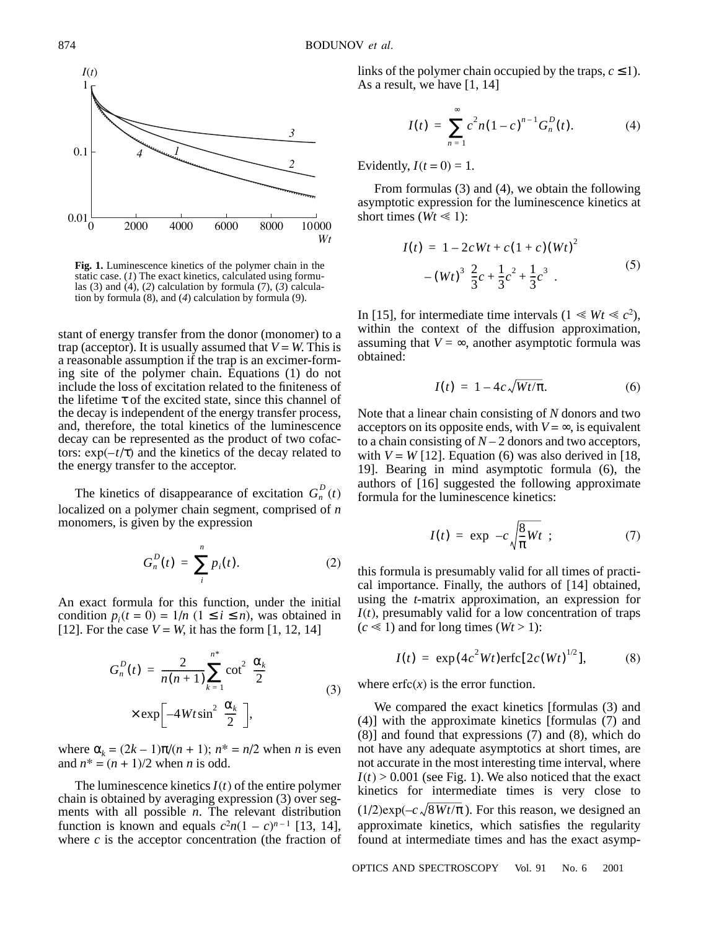

**Fig. 1.** Luminescence kinetics of the polymer chain in the static case. (*1*) The exact kinetics, calculated using formulas (3) and (4), (*2*) calculation by formula (7), (*3*) calculation by formula (8), and (*4*) calculation by formula (9).

stant of energy transfer from the donor (monomer) to a trap (acceptor). It is usually assumed that  $V = W$ . This is a reasonable assumption if the trap is an excimer-forming site of the polymer chain. Equations (1) do not include the loss of excitation related to the finiteness of the lifetime  $\tau$  of the excited state, since this channel of the decay is independent of the energy transfer process, and, therefore, the total kinetics of the luminescence decay can be represented as the product of two cofactors:  $\exp(-t/\tau)$  and the kinetics of the decay related to the energy transfer to the acceptor.

The kinetics of disappearance of excitation  $G_n^D(t)$ localized on a polymer chain segment, comprised of *n* monomers, is given by the expression

$$
G_n^D(t) = \sum_{i}^{n} p_i(t). \tag{2}
$$

An exact formula for this function, under the initial condition  $p_i(t = 0) = 1/n$  ( $1 \le i \le n$ ), was obtained in [12]. For the case  $V = W$ , it has the form [1, 12, 14]

$$
G_n^D(t) = \frac{2}{n(n+1)} \sum_{k=1}^{n^*} \cot^2\left(\frac{\alpha_k}{2}\right)
$$
  
 
$$
\times \exp\left[-4Wt \sin^2\left(\frac{\alpha_k}{2}\right)\right],
$$
 (3)

where  $\alpha_k = (2k - 1)\pi/(n + 1)$ ;  $n^* = n/2$  when *n* is even and  $n^* = (n + 1)/2$  when *n* is odd.

The luminescence kinetics *I*(*t*) of the entire polymer chain is obtained by averaging expression (3) over segments with all possible *n*. The relevant distribution function is known and equals  $c^2n(1-c)^{n-1}$  [13, 14], where  $c$  is the acceptor concentration (the fraction of links of the polymer chain occupied by the traps,  $c \le 1$ ). As a result, we have [1, 14]

$$
I(t) = \sum_{n=1}^{\infty} c^2 n (1-c)^{n-1} G_n^D(t).
$$
 (4)

Evidently,  $I(t=0) = 1$ .

From formulas (3) and (4), we obtain the following asymptotic expression for the luminescence kinetics at short times ( $Wt \le 1$ ):

$$
I(t) = 1 - 2cWt + c(1 + c)(Wt)^{2}
$$
  
-(*Wt*)<sup>3</sup> $\left(\frac{2}{3}c + \frac{1}{3}c^{2} + \frac{1}{3}c^{3}\right)$ . (5)

In [15], for intermediate time intervals  $(1 \ll Wt \ll c^2)$ , within the context of the diffusion approximation, assuming that  $V = \infty$ , another asymptotic formula was obtained:

$$
I(t) = 1 - 4c\sqrt{Wt/\pi}.
$$
 (6)

Note that a linear chain consisting of *N* donors and two acceptors on its opposite ends, with  $V = \infty$ , is equivalent to a chain consisting of  $N - 2$  donors and two acceptors, with  $V = W$  [12]. Equation (6) was also derived in [18, 19]. Bearing in mind asymptotic formula (6), the authors of [16] suggested the following approximate formula for the luminescence kinetics:

$$
I(t) = \exp\left(-c\sqrt{\frac{8}{\pi}Wt}\right); \tag{7}
$$

this formula is presumably valid for all times of practical importance. Finally, the authors of [14] obtained, using the *t*-matrix approximation, an expression for *I*(*t*), presumably valid for a low concentration of traps  $(c \leq 1)$  and for long times  $(Wt > 1)$ :

$$
I(t) = \exp(4c^2Wt)\text{erfc}[2c(Wt)^{1/2}], \quad (8)
$$

where  $erfc(x)$  is the error function.

We compared the exact kinetics [formulas (3) and (4)] with the approximate kinetics [formulas (7) and (8)] and found that expressions (7) and (8), which do not have any adequate asymptotics at short times, are not accurate in the most interesting time interval, where  $I(t) > 0.001$  (see Fig. 1). We also noticed that the exact kinetics for intermediate times is very close to  $(1/2)exp(-c\sqrt{8Wt/\pi})$ . For this reason, we designed an approximate kinetics, which satisfies the regularity found at intermediate times and has the exact asymp-

OPTICS AND SPECTROSCOPY Vol. 91 No. 6 2001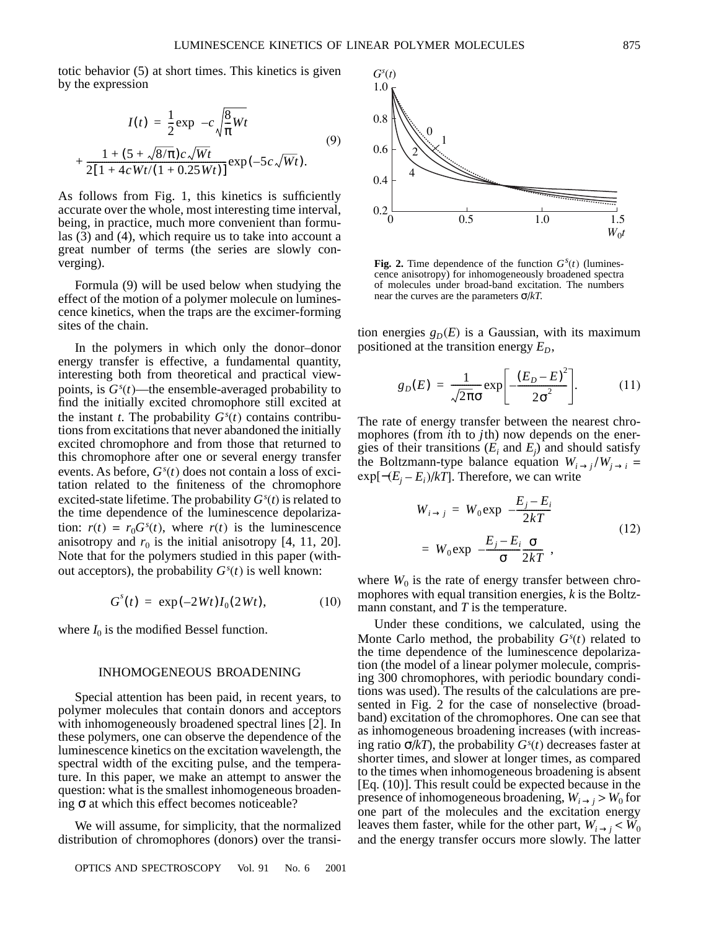totic behavior (5) at short times. This kinetics is given by the expression

$$
I(t) = \frac{1}{2} \exp\left(-c \sqrt{\frac{8}{\pi}} Wt\right)
$$
  
+ 
$$
\frac{1 + (5 + \sqrt{8/\pi})c\sqrt{Wt}}{2[1 + 4cWt/(1 + 0.25Wt)]} \exp(-5c\sqrt{Wt}).
$$
 (9)

As follows from Fig. 1, this kinetics is sufficiently accurate over the whole, most interesting time interval, being, in practice, much more convenient than formulas (3) and (4), which require us to take into account a great number of terms (the series are slowly converging).

Formula (9) will be used below when studying the effect of the motion of a polymer molecule on luminescence kinetics, when the traps are the excimer-forming sites of the chain.

In the polymers in which only the donor–donor energy transfer is effective, a fundamental quantity, interesting both from theoretical and practical viewpoints, is  $G<sup>s</sup>(t)$ —the ensemble-averaged probability to find the initially excited chromophore still excited at the instant  $t$ . The probability  $G<sup>s</sup>(t)$  contains contributions from excitations that never abandoned the initially excited chromophore and from those that returned to this chromophore after one or several energy transfer events. As before,  $G<sup>s</sup>(t)$  does not contain a loss of excitation related to the finiteness of the chromophore excited-state lifetime. The probability  $G<sup>s</sup>(t)$  is related to the time dependence of the luminescence depolarization:  $r(t) = r_0 G<sup>s</sup>(t)$ , where  $r(t)$  is the luminescence anisotropy and  $r_0$  is the initial anisotropy [4, 11, 20]. Note that for the polymers studied in this paper (without acceptors), the probability  $G<sup>s</sup>(t)$  is well known:

$$
G^{s}(t) = \exp(-2Wt)I_{0}(2Wt), \qquad (10)
$$

where  $I_0$  is the modified Bessel function.

# INHOMOGENEOUS BROADENING

Special attention has been paid, in recent years, to polymer molecules that contain donors and acceptors with inhomogeneously broadened spectral lines [2]. In these polymers, one can observe the dependence of the luminescence kinetics on the excitation wavelength, the spectral width of the exciting pulse, and the temperature. In this paper, we make an attempt to answer the question: what is the smallest inhomogeneous broadening  $σ$  at which this effect becomes noticeable?

We will assume, for simplicity, that the normalized distribution of chromophores (donors) over the transi-



**Fig. 2.** Time dependence of the function  $G<sup>s</sup>(t)$  (luminescence anisotropy) for inhomogeneously broadened spectra of molecules under broad-band excitation. The numbers near the curves are the parameters σ/*kT*.

tion energies  $g_D(E)$  is a Gaussian, with its maximum positioned at the transition energy  $E_D$ ,

$$
g_D(E) = \frac{1}{\sqrt{2\pi}\sigma} \exp\left[-\frac{(E_D - E)^2}{2\sigma^2}\right].
$$
 (11)

The rate of energy transfer between the nearest chromophores (from *i*th to *j*th) now depends on the energies of their transitions  $(E_i \text{ and } E_j)$  and should satisfy the Boltzmann-type balance equation  $W_{i \rightarrow j}/W_{j \rightarrow i}$  $exp[-(E_j - E_i)/kT]$ . Therefore, we can write

$$
W_{i \to j} = W_0 \exp\left(-\frac{E_j - E_i}{2kT}\right)
$$
  
=  $W_0 \exp\left(-\frac{E_j - E_i}{\sigma} \frac{\sigma}{2kT}\right),$  (12)

where  $W_0$  is the rate of energy transfer between chromophores with equal transition energies, *k* is the Boltzmann constant, and *T* is the temperature.

Under these conditions, we calculated, using the Monte Carlo method, the probability  $G<sup>s</sup>(t)$  related to the time dependence of the luminescence depolarization (the model of a linear polymer molecule, comprising 300 chromophores, with periodic boundary conditions was used). The results of the calculations are presented in Fig. 2 for the case of nonselective (broadband) excitation of the chromophores. One can see that as inhomogeneous broadening increases (with increasing ratio  $\sigma/kT$ ), the probability  $G<sup>s</sup>(t)$  decreases faster at shorter times, and slower at longer times, as compared to the times when inhomogeneous broadening is absent [Eq. (10)]. This result could be expected because in the presence of inhomogeneous broadening,  $W_{i\rightarrow j} > W_0$  for one part of the molecules and the excitation energy leaves them faster, while for the other part,  $W_{i \rightarrow j}$  <  $W_0$ and the energy transfer occurs more slowly. The latter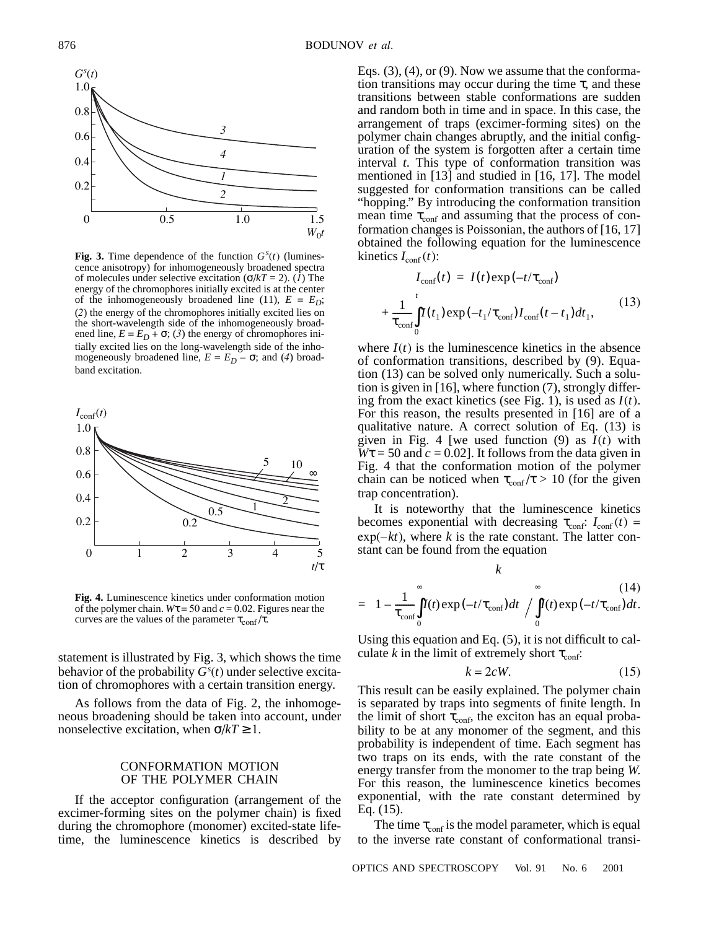

**Fig. 3.** Time dependence of the function  $G<sup>s</sup>(t)$  (luminescence anisotropy) for inhomogeneously broadened spectra of molecules under selective excitation (σ/*kT* = 2). (*1*) The energy of the chromophores initially excited is at the center of the inhomogeneously broadened line (11),  $E = E_D$ ; (*2*) the energy of the chromophores initially excited lies on the short-wavelength side of the inhomogeneously broadened line,  $E = E_D + \sigma$ ; (3) the energy of chromophores initially excited lies on the long-wavelength side of the inhomogeneously broadened line,  $E = E_D - \sigma$ ; and (4) broadband excitation.



**Fig. 4.** Luminescence kinetics under conformation motion of the polymer chain.  $W\tau = 50$  and  $c = 0.02$ . Figures near the curves are the values of the parameter  $\tau_{conf}/\tau$ .

statement is illustrated by Fig. 3, which shows the time behavior of the probability  $G<sup>s</sup>(t)$  under selective excitation of chromophores with a certain transition energy.

As follows from the data of Fig. 2, the inhomogeneous broadening should be taken into account, under nonselective excitation, when  $\sigma/kT \geq 1$ .

# CONFORMATION MOTION OF THE POLYMER CHAIN

If the acceptor configuration (arrangement of the excimer-forming sites on the polymer chain) is fixed during the chromophore (monomer) excited-state lifetime, the luminescence kinetics is described by Eqs. (3), (4), or (9). Now we assume that the conformation transitions may occur during the time  $\tau$ , and these transitions between stable conformations are sudden and random both in time and in space. In this case, the arrangement of traps (excimer-forming sites) on the polymer chain changes abruptly, and the initial configuration of the system is forgotten after a certain time interval *t*. This type of conformation transition was mentioned in [13] and studied in [16, 17]. The model suggested for conformation transitions can be called "hopping." By introducing the conformation transition mean time  $\tau_{\text{conf}}$  and assuming that the process of conformation changes is Poissonian, the authors of [16, 17] obtained the following equation for the luminescence kinetics  $I_{\text{conf}}(t)$ :

$$
I_{\text{conf}}(t) = I(t) \exp(-t/\tau_{\text{conf}})
$$
  
+ 
$$
\frac{1}{\tau_{\text{conf}}} \int_{0}^{t} I(t_1) \exp(-t_1/\tau_{\text{conf}}) I_{\text{conf}}(t - t_1) dt_1,
$$
 (13)

where  $I(t)$  is the luminescence kinetics in the absence of conformation transitions, described by (9). Equation (13) can be solved only numerically. Such a solution is given in [16], where function (7), strongly differing from the exact kinetics (see Fig. 1), is used as *I*(*t*). For this reason, the results presented in [16] are of a qualitative nature. A correct solution of Eq. (13) is given in Fig. 4 [we used function (9) as *I*(*t*) with  $W\tau = 50$  and  $c = 0.02$ . It follows from the data given in Fig. 4 that the conformation motion of the polymer chain can be noticed when  $\tau_{conf}/\tau > 10$  (for the given trap concentration).

It is noteworthy that the luminescence kinetics becomes exponential with decreasing  $\tau_{conf}$ :  $I_{conf}(t)$  =  $exp(-kt)$ , where *k* is the rate constant. The latter constant can be found from the equation

$$
k
$$
\n
$$
= \left(1 - \frac{1}{\tau_{\text{conf}}}\int_{0}^{\infty} I(t) \exp(-t/\tau_{\text{conf}})dt\right) / \int_{0}^{\infty} I(t) \exp(-t/\tau_{\text{conf}})dt.
$$
\n(14)

Using this equation and Eq. (5), it is not difficult to calculate *k* in the limit of extremely short  $\tau_{conf}$ :

$$
k = 2cW.\t(15)
$$

This result can be easily explained. The polymer chain is separated by traps into segments of finite length. In the limit of short  $\tau_{\text{conf}}$ , the exciton has an equal probability to be at any monomer of the segment, and this probability is independent of time. Each segment has two traps on its ends, with the rate constant of the energy transfer from the monomer to the trap being *W*. For this reason, the luminescence kinetics becomes exponential, with the rate constant determined by Eq. (15).

The time  $\tau_{conf}$  is the model parameter, which is equal to the inverse rate constant of conformational transi-

OPTICS AND SPECTROSCOPY Vol. 91 No. 6 2001